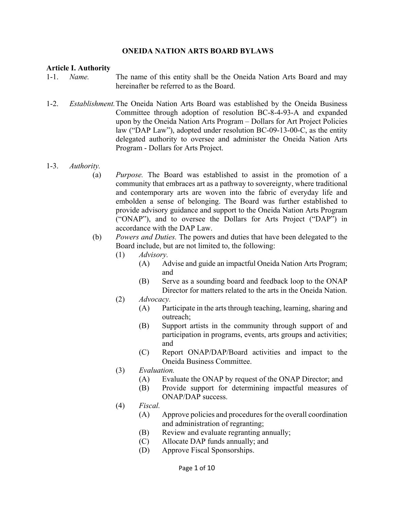### **ONEIDA NATION ARTS BOARD BYLAWS**

#### **Article I. Authority**

- 1-1. *Name.* The name of this entity shall be the Oneida Nation Arts Board and may hereinafter be referred to as the Board.
- 1-2. *Establishment.* The Oneida Nation Arts Board was established by the Oneida Business Committee through adoption of resolution BC-8-4-93-A and expanded upon by the Oneida Nation Arts Program – Dollars for Art Project Policies law ("DAP Law"), adopted under resolution BC-09-13-00-C, as the entity delegated authority to oversee and administer the Oneida Nation Arts Program - Dollars for Arts Project.

#### 1-3. *Authority.*

- (a) *Purpose.* The Board was established to assist in the promotion of a community that embraces art as a pathway to sovereignty, where traditional and contemporary arts are woven into the fabric of everyday life and embolden a sense of belonging. The Board was further established to provide advisory guidance and support to the Oneida Nation Arts Program ("ONAP"), and to oversee the Dollars for Arts Project ("DAP") in accordance with the DAP Law.
- (b) *Powers and Duties.* The powers and duties that have been delegated to the Board include, but are not limited to, the following:
	- (1) *Advisory.*
		- (A) Advise and guide an impactful Oneida Nation Arts Program; and
		- (B) Serve as a sounding board and feedback loop to the ONAP Director for matters related to the arts in the Oneida Nation.

#### (2) *Advocacy.*

- (A) Participate in the arts through teaching, learning, sharing and outreach;
- (B) Support artists in the community through support of and participation in programs, events, arts groups and activities; and
- (C) Report ONAP/DAP/Board activities and impact to the Oneida Business Committee.
- (3) *Evaluation.*
	- (A) Evaluate the ONAP by request of the ONAP Director; and
		- (B) Provide support for determining impactful measures of ONAP/DAP success.
- (4) *Fiscal.* 
	- (A) Approve policies and procedures for the overall coordination and administration of regranting;
	- (B) Review and evaluate regranting annually;
	- (C) Allocate DAP funds annually; and
	- (D) Approve Fiscal Sponsorships.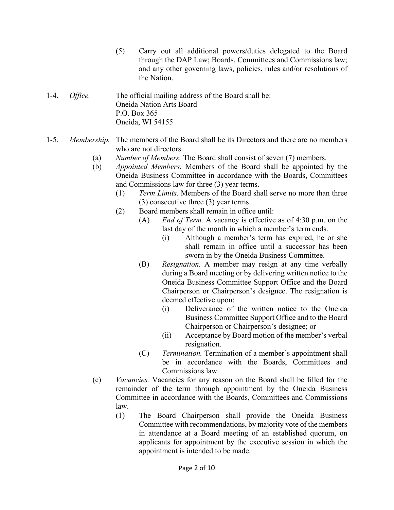- (5) Carry out all additional powers/duties delegated to the Board through the DAP Law; Boards, Committees and Commissions law; and any other governing laws, policies, rules and/or resolutions of the Nation.
- 1-4. *Office.* The official mailing address of the Board shall be: Oneida Nation Arts Board P.O. Box 365 Oneida, WI 54155
- 1-5. *Membership.* The members of the Board shall be its Directors and there are no members who are not directors.
	- (a) *Number of Members.* The Board shall consist of seven (7) members.
	- (b) *Appointed Members.* Members of the Board shall be appointed by the Oneida Business Committee in accordance with the Boards, Committees and Commissions law for three (3) year terms.
		- (1) *Term Limits.* Members of the Board shall serve no more than three (3) consecutive three (3) year terms.
		- (2) Board members shall remain in office until:
			- (A) *End of Term.* A vacancy is effective as of 4:30 p.m. on the last day of the month in which a member's term ends.
				- (i) Although a member's term has expired, he or she shall remain in office until a successor has been sworn in by the Oneida Business Committee.
			- (B) *Resignation.* A member may resign at any time verbally during a Board meeting or by delivering written notice to the Oneida Business Committee Support Office and the Board Chairperson or Chairperson's designee. The resignation is deemed effective upon:
				- (i) Deliverance of the written notice to the Oneida Business Committee Support Office and to the Board Chairperson or Chairperson's designee; or
				- (ii) Acceptance by Board motion of the member's verbal resignation.
			- (C) *Termination.* Termination of a member's appointment shall be in accordance with the Boards, Committees and Commissions law.
	- (c) *Vacancies.* Vacancies for any reason on the Board shall be filled for the remainder of the term through appointment by the Oneida Business Committee in accordance with the Boards, Committees and Commissions law.
		- (1) The Board Chairperson shall provide the Oneida Business Committee with recommendations, by majority vote of the members in attendance at a Board meeting of an established quorum, on applicants for appointment by the executive session in which the appointment is intended to be made.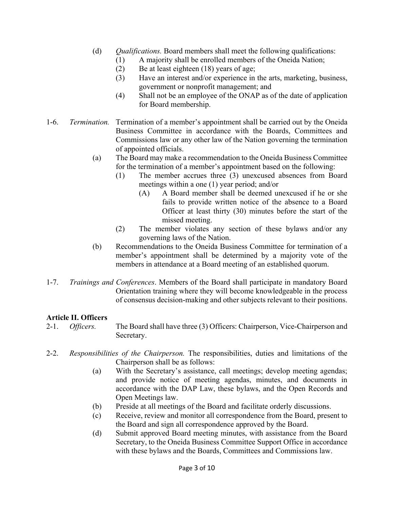- (d) *Qualifications.* Board members shall meet the following qualifications:
	- (1) A majority shall be enrolled members of the Oneida Nation;
	- (2) Be at least eighteen (18) years of age;
	- (3) Have an interest and/or experience in the arts, marketing, business, government or nonprofit management; and
	- (4) Shall not be an employee of the ONAP as of the date of application for Board membership.
- 1-6. *Termination.* Termination of a member's appointment shall be carried out by the Oneida Business Committee in accordance with the Boards, Committees and Commissions law or any other law of the Nation governing the termination of appointed officials.
	- (a) The Board may make a recommendation to the Oneida Business Committee for the termination of a member's appointment based on the following:
		- (1) The member accrues three (3) unexcused absences from Board meetings within a one (1) year period; and/or
			- (A) A Board member shall be deemed unexcused if he or she fails to provide written notice of the absence to a Board Officer at least thirty (30) minutes before the start of the missed meeting.
		- (2) The member violates any section of these bylaws and/or any governing laws of the Nation.
	- (b) Recommendations to the Oneida Business Committee for termination of a member's appointment shall be determined by a majority vote of the members in attendance at a Board meeting of an established quorum.
- 1-7. *Trainings and Conferences*. Members of the Board shall participate in mandatory Board Orientation training where they will become knowledgeable in the process of consensus decision-making and other subjects relevant to their positions.

# **Article II. Officers**

- 2-1. *Officers.* The Board shall have three (3) Officers: Chairperson, Vice-Chairperson and Secretary.
- 2-2. *Responsibilities of the Chairperson.* The responsibilities, duties and limitations of the Chairperson shall be as follows:
	- (a) With the Secretary's assistance, call meetings; develop meeting agendas; and provide notice of meeting agendas, minutes, and documents in accordance with the DAP Law, these bylaws, and the Open Records and Open Meetings law.
	- (b) Preside at all meetings of the Board and facilitate orderly discussions.
	- (c) Receive, review and monitor all correspondence from the Board, present to the Board and sign all correspondence approved by the Board.
	- (d) Submit approved Board meeting minutes, with assistance from the Board Secretary, to the Oneida Business Committee Support Office in accordance with these bylaws and the Boards, Committees and Commissions law.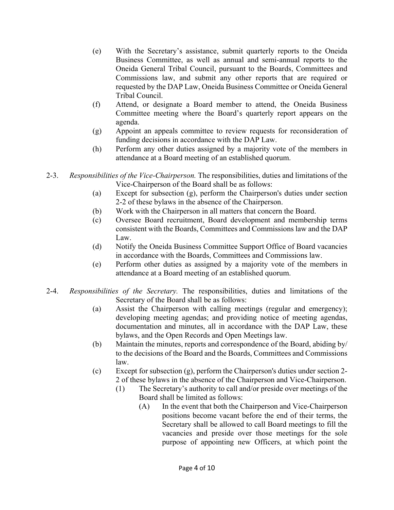- (e) With the Secretary's assistance, submit quarterly reports to the Oneida Business Committee, as well as annual and semi-annual reports to the Oneida General Tribal Council, pursuant to the Boards, Committees and Commissions law, and submit any other reports that are required or requested by the DAP Law, Oneida Business Committee or Oneida General Tribal Council.
- (f) Attend, or designate a Board member to attend, the Oneida Business Committee meeting where the Board's quarterly report appears on the agenda.
- (g) Appoint an appeals committee to review requests for reconsideration of funding decisions in accordance with the DAP Law.
- (h) Perform any other duties assigned by a majority vote of the members in attendance at a Board meeting of an established quorum.
- 2-3. *Responsibilities of the Vice-Chairperson.* The responsibilities, duties and limitations of the Vice-Chairperson of the Board shall be as follows:
	- (a) Except for subsection (g), perform the Chairperson's duties under section 2-2 of these bylaws in the absence of the Chairperson.
	- (b) Work with the Chairperson in all matters that concern the Board.
	- (c) Oversee Board recruitment, Board development and membership terms consistent with the Boards, Committees and Commissions law and the DAP Law.
	- (d) Notify the Oneida Business Committee Support Office of Board vacancies in accordance with the Boards, Committees and Commissions law.
	- (e) Perform other duties as assigned by a majority vote of the members in attendance at a Board meeting of an established quorum.
- 2-4. *Responsibilities of the Secretary.* The responsibilities, duties and limitations of the Secretary of the Board shall be as follows:
	- (a) Assist the Chairperson with calling meetings (regular and emergency); developing meeting agendas; and providing notice of meeting agendas, documentation and minutes, all in accordance with the DAP Law, these bylaws, and the Open Records and Open Meetings law.
	- (b) Maintain the minutes, reports and correspondence of the Board, abiding by/ to the decisions of the Board and the Boards, Committees and Commissions law.
	- (c) Except for subsection (g), perform the Chairperson's duties under section 2- 2 of these bylaws in the absence of the Chairperson and Vice-Chairperson.
		- (1) The Secretary's authority to call and/or preside over meetings of the Board shall be limited as follows:
			- (A) In the event that both the Chairperson and Vice-Chairperson positions become vacant before the end of their terms, the Secretary shall be allowed to call Board meetings to fill the vacancies and preside over those meetings for the sole purpose of appointing new Officers, at which point the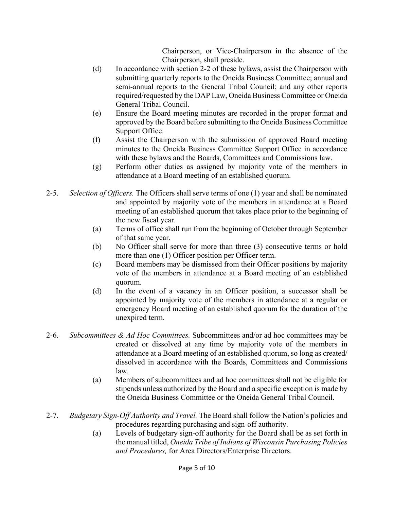Chairperson, or Vice-Chairperson in the absence of the Chairperson, shall preside.

- (d) In accordance with section 2-2 of these bylaws, assist the Chairperson with submitting quarterly reports to the Oneida Business Committee; annual and semi-annual reports to the General Tribal Council; and any other reports required/requested by the DAP Law, Oneida Business Committee or Oneida General Tribal Council.
- (e) Ensure the Board meeting minutes are recorded in the proper format and approved by the Board before submitting to the Oneida Business Committee Support Office.
- (f) Assist the Chairperson with the submission of approved Board meeting minutes to the Oneida Business Committee Support Office in accordance with these bylaws and the Boards, Committees and Commissions law.
- (g) Perform other duties as assigned by majority vote of the members in attendance at a Board meeting of an established quorum.
- 2-5. *Selection of Officers.* The Officers shall serve terms of one (1) year and shall be nominated and appointed by majority vote of the members in attendance at a Board meeting of an established quorum that takes place prior to the beginning of the new fiscal year.
	- (a) Terms of office shall run from the beginning of October through September of that same year.
	- (b) No Officer shall serve for more than three (3) consecutive terms or hold more than one (1) Officer position per Officer term.
	- (c) Board members may be dismissed from their Officer positions by majority vote of the members in attendance at a Board meeting of an established quorum.
	- (d) In the event of a vacancy in an Officer position, a successor shall be appointed by majority vote of the members in attendance at a regular or emergency Board meeting of an established quorum for the duration of the unexpired term.
- 2-6. *Subcommittees & Ad Hoc Committees.* Subcommittees and/or ad hoc committees may be created or dissolved at any time by majority vote of the members in attendance at a Board meeting of an established quorum, so long as created/ dissolved in accordance with the Boards, Committees and Commissions law.
	- (a) Members of subcommittees and ad hoc committees shall not be eligible for stipends unless authorized by the Board and a specific exception is made by the Oneida Business Committee or the Oneida General Tribal Council.
- 2-7. *Budgetary Sign-Off Authority and Travel.* The Board shall follow the Nation's policies and procedures regarding purchasing and sign-off authority.
	- (a) Levels of budgetary sign-off authority for the Board shall be as set forth in the manual titled, *Oneida Tribe of Indians of Wisconsin Purchasing Policies and Procedures,* for Area Directors/Enterprise Directors.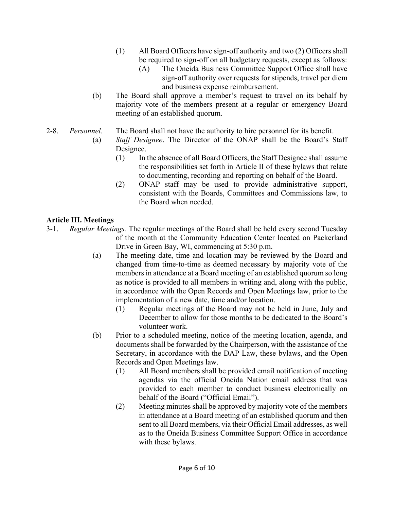- (1) All Board Officers have sign-off authority and two (2) Officers shall be required to sign-off on all budgetary requests, except as follows:
	- (A) The Oneida Business Committee Support Office shall have sign-off authority over requests for stipends, travel per diem and business expense reimbursement.
- (b) The Board shall approve a member's request to travel on its behalf by majority vote of the members present at a regular or emergency Board meeting of an established quorum.
- 2-8. *Personnel.* The Board shall not have the authority to hire personnel for its benefit.
	- (a) *Staff Designee*. The Director of the ONAP shall be the Board's Staff Designee.
		- (1) In the absence of all Board Officers, the Staff Designee shall assume the responsibilities set forth in Article II of these bylaws that relate to documenting, recording and reporting on behalf of the Board.
		- (2) ONAP staff may be used to provide administrative support, consistent with the Boards, Committees and Commissions law, to the Board when needed.

# **Article III. Meetings**

- 3-1. *Regular Meetings.* The regular meetings of the Board shall be held every second Tuesday of the month at the Community Education Center located on Packerland Drive in Green Bay, WI, commencing at 5:30 p.m.
	- (a) The meeting date, time and location may be reviewed by the Board and changed from time-to-time as deemed necessary by majority vote of the members in attendance at a Board meeting of an established quorum so long as notice is provided to all members in writing and, along with the public, in accordance with the Open Records and Open Meetings law, prior to the implementation of a new date, time and/or location.
		- (1) Regular meetings of the Board may not be held in June, July and December to allow for those months to be dedicated to the Board's volunteer work.
	- (b) Prior to a scheduled meeting, notice of the meeting location, agenda, and documents shall be forwarded by the Chairperson, with the assistance of the Secretary, in accordance with the DAP Law, these bylaws, and the Open Records and Open Meetings law.
		- (1) All Board members shall be provided email notification of meeting agendas via the official Oneida Nation email address that was provided to each member to conduct business electronically on behalf of the Board ("Official Email").
		- (2) Meeting minutes shall be approved by majority vote of the members in attendance at a Board meeting of an established quorum and then sent to all Board members, via their Official Email addresses, as well as to the Oneida Business Committee Support Office in accordance with these bylaws.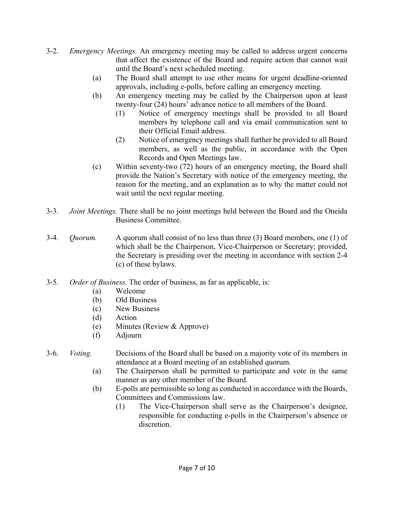- 3-2. *Emergency Meetings.* An emergency meeting may be called to address urgent concerns that affect the existence of the Board and require action that cannot wait until the Board's next scheduled meeting.
	- (a) The Board shall attempt to use other means for urgent deadline-oriented approvals, including e-polls, before calling an emergency meeting.
	- (b) An emergency meeting may be called by the Chairperson upon at least twenty-four (24) hours' advance notice to all members of the Board.
		- (1) Notice of emergency meetings shall be provided to all Board members by telephone call and via email communication sent to their Official Email address.
		- (2) Notice of emergency meetings shall further be provided to all Board members, as well as the public, in accordance with the Open Records and Open Meetings law.
	- (c) Within seventy-two (72) hours of an emergency meeting, the Board shall provide the Nation's Secretary with notice of the emergency meeting, the reason for the meeting, and an explanation as to why the matter could not wait until the next regular meeting.
- 3-3. *Joint Meetings.* There shall be no joint meetings held between the Board and the Oneida Business Committee.
- 3-4. *Quorum.* A quorum shall consist of no less than three (3) Board members, one (1) of which shall be the Chairperson, Vice-Chairperson or Secretary; provided, the Secretary is presiding over the meeting in accordance with section 2-4 (c) of these bylaws.
- 3-5. *Order of Business.* The order of business, as far as applicable, is:
	- (a) Welcome
	- (b) Old Business
	- (c) New Business
	- (d) Action
	- (e) Minutes (Review & Approve)
	- (f) Adjourn

### 3-6. *Voting.* Decisions of the Board shall be based on a majority vote of its members in attendance at a Board meeting of an established quorum.

- (a) The Chairperson shall be permitted to participate and vote in the same manner as any other member of the Board.
- (b) E-polls are permissible so long as conducted in accordance with the Boards, Committees and Commissions law.
	- (1) The Vice-Chairperson shall serve as the Chairperson's designee, responsible for conducting e-polls in the Chairperson's absence or discretion.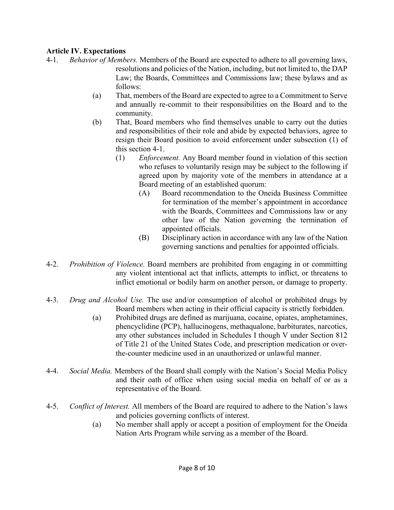# **Article IV. Expectations**

- 4-1. *Behavior of Members.* Members of the Board are expected to adhere to all governing laws, resolutions and policies of the Nation, including, but not limited to, the DAP Law; the Boards, Committees and Commissions law; these bylaws and as follows:
	- (a) That, members of the Board are expected to agree to a Commitment to Serve and annually re-commit to their responsibilities on the Board and to the community.
	- (b) That, Board members who find themselves unable to carry out the duties and responsibilities of their role and abide by expected behaviors, agree to resign their Board position to avoid enforcement under subsection (1) of this section 4-1.
		- (1) *Enforcement.* Any Board member found in violation of this section who refuses to voluntarily resign may be subject to the following if agreed upon by majority vote of the members in attendance at a Board meeting of an established quorum:
			- (A) Board recommendation to the Oneida Business Committee for termination of the member's appointment in accordance with the Boards, Committees and Commissions law or any other law of the Nation governing the termination of appointed officials.
			- (B) Disciplinary action in accordance with any law of the Nation governing sanctions and penalties for appointed officials.
- 4-2. *Prohibition of Violence.* Board members are prohibited from engaging in or committing any violent intentional act that inflicts, attempts to inflict, or threatens to inflict emotional or bodily harm on another person, or damage to property.
- 4-3. *Drug and Alcohol Use.* The use and/or consumption of alcohol or prohibited drugs by Board members when acting in their official capacity is strictly forbidden.
	- (a) Prohibited drugs are defined as marijuana, cocaine, opiates, amphetamines, phencyclidine (PCP), hallucinogens, methaqualone, barbiturates, narcotics, any other substances included in Schedules I though V under Section 812 of Title 21 of the United States Code, and prescription medication or over the-counter medicine used in an unauthorized or unlawful manner.
- 4-4. *Social Media.* Members of the Board shall comply with the Nation's Social Media Policy and their oath of office when using social media on behalf of or as a representative of the Board.
- 4-5. *Conflict of Interest.* All members of the Board are required to adhere to the Nation's laws and policies governing conflicts of interest.
	- (a) No member shall apply or accept a position of employment for the Oneida Nation Arts Program while serving as a member of the Board.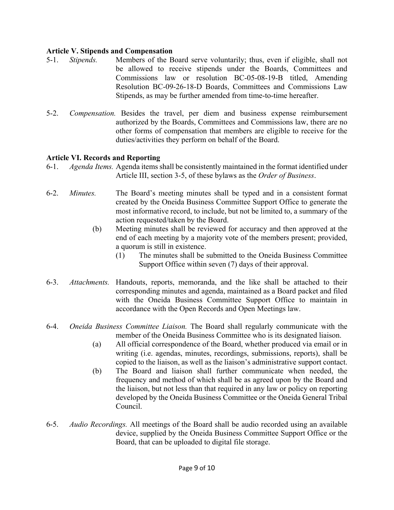### **Article V. Stipends and Compensation**

- 5-1. *Stipends.* Members of the Board serve voluntarily; thus, even if eligible, shall not be allowed to receive stipends under the Boards, Committees and Commissions law or resolution BC-05-08-19-B titled, Amending Resolution BC-09-26-18-D Boards, Committees and Commissions Law Stipends, as may be further amended from time-to-time hereafter.
- 5-2. *Compensation.* Besides the travel, per diem and business expense reimbursement authorized by the Boards, Committees and Commissions law, there are no other forms of compensation that members are eligible to receive for the duties/activities they perform on behalf of the Board.

### **Article VI. Records and Reporting**

- 6-1. *Agenda Items.* Agenda items shall be consistently maintained in the format identified under Article III, section 3-5, of these bylaws as the *Order of Business*.
- 6-2. *Minutes.* The Board's meeting minutes shall be typed and in a consistent format created by the Oneida Business Committee Support Office to generate the most informative record, to include, but not be limited to, a summary of the action requested/taken by the Board.
	- (b) Meeting minutes shall be reviewed for accuracy and then approved at the end of each meeting by a majority vote of the members present; provided, a quorum is still in existence.
		- (1) The minutes shall be submitted to the Oneida Business Committee Support Office within seven (7) days of their approval.
- 6-3. *Attachments.* Handouts, reports, memoranda, and the like shall be attached to their corresponding minutes and agenda, maintained as a Board packet and filed with the Oneida Business Committee Support Office to maintain in accordance with the Open Records and Open Meetings law.
- 6-4. *Oneida Business Committee Liaison.* The Board shall regularly communicate with the member of the Oneida Business Committee who is its designated liaison.
	- (a) All official correspondence of the Board, whether produced via email or in writing (i.e. agendas, minutes, recordings, submissions, reports), shall be copied to the liaison, as well as the liaison's administrative support contact.
	- (b) The Board and liaison shall further communicate when needed, the frequency and method of which shall be as agreed upon by the Board and the liaison, but not less than that required in any law or policy on reporting developed by the Oneida Business Committee or the Oneida General Tribal Council.
- 6-5. *Audio Recordings.* All meetings of the Board shall be audio recorded using an available device, supplied by the Oneida Business Committee Support Office or the Board, that can be uploaded to digital file storage.